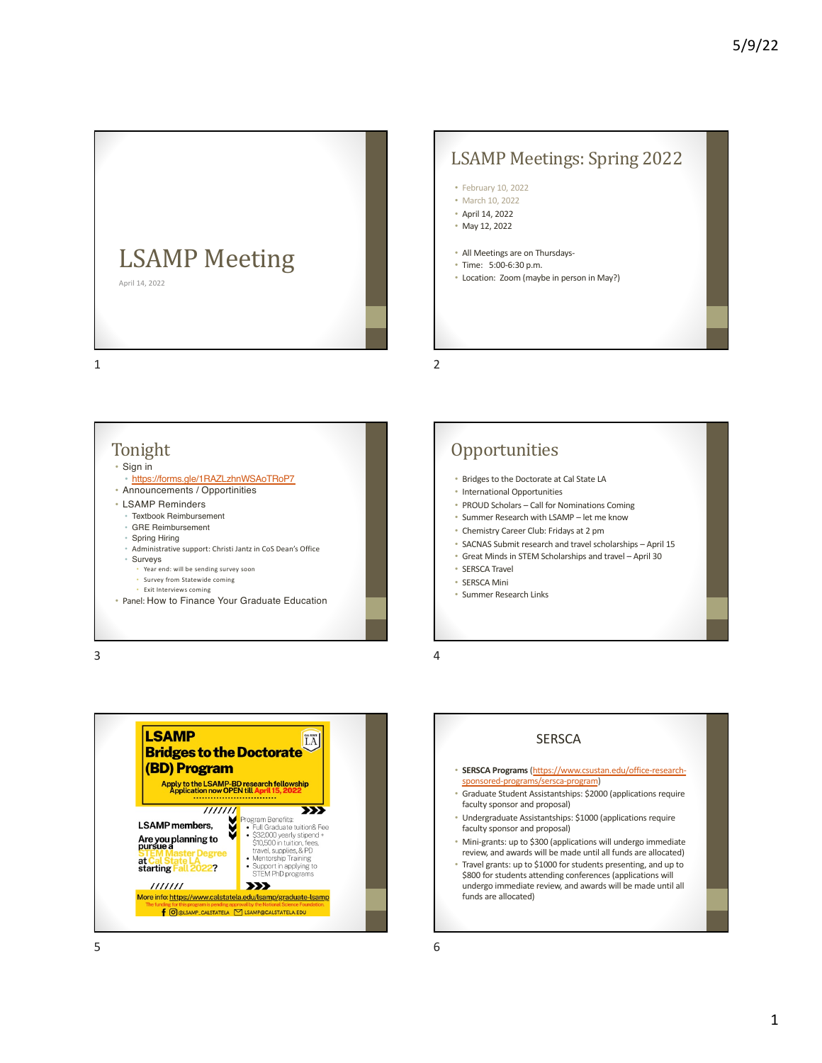

## LSAMP Meetings: Spring 2022

- February 10, 2022
- March 10, 2022
- April 14, 2022 • May 12, 2022
- 
- All Meetings are on Thursdays-
- Time: 5:00-6:30 p.m.
- Location: Zoom (maybe in person in May?)

1



3



## **Opportunities**

- Bridges to the Doctorate at Cal State LA
- International Opportunities
- PROUD Scholars Call for Nominations Coming
- Summer Research with LSAMP let me know
- Chemistry Career Club: Fridays at 2 pm
- SACNAS Submit research and travel scholarships April 15
- Great Minds in STEM Scholarships and travel April 30
- SERSCA Travel
- SERSCA Mini
- Summer Research Links

4

2

#### **SERSCA**

- **SERSCA Programs** (https://www.csustan.edu/office-researchsponsored-programs/sersca-program)
- Graduate Student Assistantships: \$2000 (applications require faculty sponsor and proposal)
- Undergraduate Assistantships: \$1000 (applications require faculty sponsor and proposal)
- Mini-grants: up to \$300 (applications will undergo immediate review, and awards will be made until all funds are allocated)
- Travel grants: up to \$1000 for students presenting, and up to \$800 for students attending conferences (applications will undergo immediate review, and awards will be made until all funds are allocated)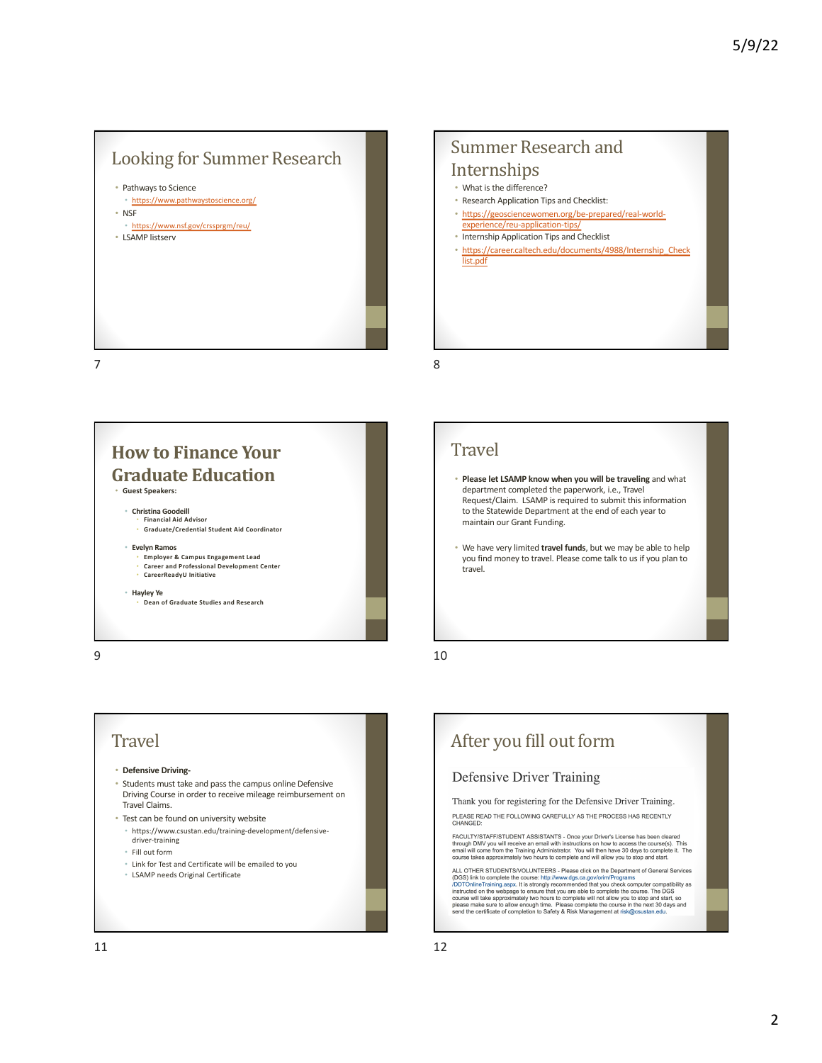## Looking for Summer Research



#### Summer Research and Internships

- What is the difference?
- Research Application Tips and Checklist:
- https://geosciencewomen.org/be-prepared/real-world-
- experience/reu-application-tips/ • Internship Application Tips and Checklist
- https://career.caltech.edu/documents/4988/Internship\_Check list.pdf

#### 7



#### 9

## **Travel**

8

- **Please let LSAMP know when you will be traveling** and what department completed the paperwork, i.e., Travel Request/Claim. LSAMP is required to submit this information to the Statewide Department at the end of each year to maintain our Grant Funding.
- We have very limited **travel funds**, but we may be able to help you find money to travel. Please come talk to us if you plan to travel.

10

#### **Travel** • **Defensive Driving-** • Students must take and pass the campus online Defensive Driving Course in order to receive mileage reimbursement on Travel Claims. • Test can be found on university website • https://www.csustan.edu/training-development/defensivedriver-training • Fill out form • Link for Test and Certificate will be emailed to you • LSAMP needs Original Certificate

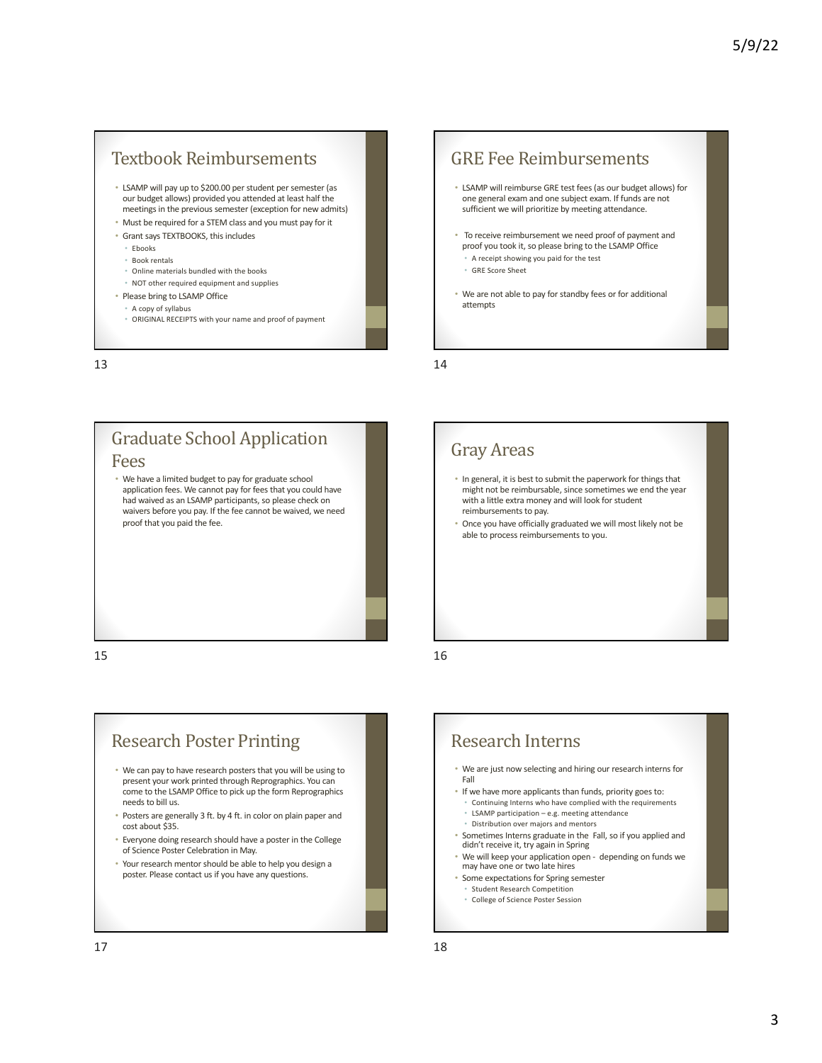#### Textbook Reimbursements

- LSAMP will pay up to \$200.00 per student per semester (as our budget allows) provided you attended at least half the meetings in the previous semester (exception for new admits)
- Must be required for a STEM class and you must pay for it
- Grant says TEXTBOOKS, this includes
- Ebooks
- Book rentals
- Online materials bundled with the books
- NOT other required equipment and supplies
- Please bring to LSAMP Office
	- A copy of syllabus
	- ORIGINAL RECEIPTS with your name and proof of payment

13

#### Fees

• We have a limited budget to pay for graduate school application fees. We cannot pay for fees that you could have had waived as an LSAMP participants, so please check on waivers before you pay. If the fee cannot be waived, we need proof that you paid the fee.

**Graduate School Application** 

15

## **Research Poster Printing**

- We can pay to have research posters that you will be using to present your work printed through Reprographics. You can come to the LSAMP Office to pick up the form Reprographics needs to bill us.
- Posters are generally 3 ft. by 4 ft. in color on plain paper and cost about \$35.
- Everyone doing research should have a poster in the College of Science Poster Celebration in May.
- Your research mentor should be able to help you design a poster. Please contact us if you have any questions.

#### **GRE** Fee Reimbursements

- LSAMP will reimburse GRE test fees (as our budget allows) for one general exam and one subject exam. If funds are not sufficient we will prioritize by meeting attendance.
- To receive reimbursement we need proof of payment and proof you took it, so please bring to the LSAMP Office • A receipt showing you paid for the test
	- GRE Score Sheet
- We are not able to pay for standby fees or for additional attempts

14

## Gray Areas

- In general, it is best to submit the paperwork for things that might not be reimbursable, since sometimes we end the year with a little extra money and will look for student reimbursements to pay.
- Once you have officially graduated we will most likely not be able to process reimbursements to you.

16

## Research Interns

- We are just now selecting and hiring our research interns for Fall
- If we have more applicants than funds, priority goes to:
	- Continuing Interns who have complied with the requirements • LSAMP participation – e.g. meeting attendance
	- Distribution over majors and mentors
- Sometimes Interns graduate in the Fall, so if you applied and didn't receive it, try again in Spring
- We will keep your application open depending on funds we may have one or two late hires
- Some expectations for Spring semester • Student Research Competition
	- College of Science Poster Session